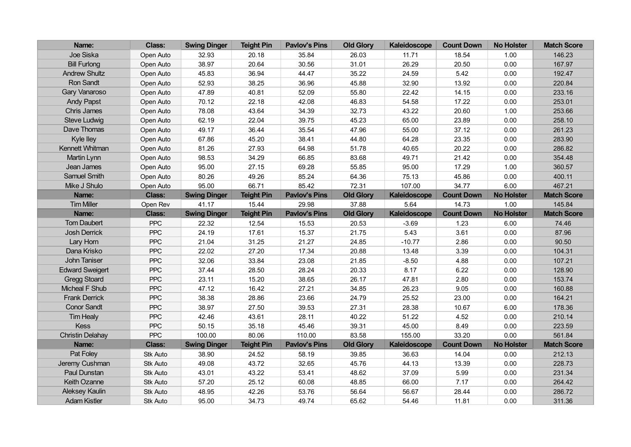| Name:                   | Class:        | <b>Swing Dinger</b> | <b>Teight Pin</b> | <b>Pavlov's Pins</b> | <b>Old Glory</b> | Kaleidoscope | <b>Count Down</b> | <b>No Holster</b> | <b>Match Score</b> |
|-------------------------|---------------|---------------------|-------------------|----------------------|------------------|--------------|-------------------|-------------------|--------------------|
| Joe Siska               | Open Auto     | 32.93               | 20.18             | 35.84                | 26.03            | 11.71        | 18.54             | 1.00              | 146.23             |
| <b>Bill Furlong</b>     | Open Auto     | 38.97               | 20.64             | 30.56                | 31.01            | 26.29        | 20.50             | 0.00              | 167.97             |
| <b>Andrew Shultz</b>    | Open Auto     | 45.83               | 36.94             | 44.47                | 35.22            | 24.59        | 5.42              | 0.00              | 192.47             |
| Ron Sandt               | Open Auto     | 52.93               | 38.25             | 36.96                | 45.88            | 32.90        | 13.92             | 0.00              | 220.84             |
| Gary Vanaroso           | Open Auto     | 47.89               | 40.81             | 52.09                | 55.80            | 22.42        | 14.15             | 0.00              | 233.16             |
| <b>Andy Papst</b>       | Open Auto     | 70.12               | 22.18             | 42.08                | 46.83            | 54.58        | 17.22             | 0.00              | 253.01             |
| Chris James             | Open Auto     | 78.08               | 43.64             | 34.39                | 32.73            | 43.22        | 20.60             | 1.00              | 253.66             |
| <b>Steve Ludwig</b>     | Open Auto     | 62.19               | 22.04             | 39.75                | 45.23            | 65.00        | 23.89             | 0.00              | 258.10             |
| Dave Thomas             | Open Auto     | 49.17               | 36.44             | 35.54                | 47.96            | 55.00        | 37.12             | 0.00              | 261.23             |
| <b>Kyle lley</b>        | Open Auto     | 67.86               | 45.20             | 38.41                | 44.80            | 64.28        | 23.35             | 0.00              | 283.90             |
| Kennett Whitman         | Open Auto     | 81.26               | 27.93             | 64.98                | 51.78            | 40.65        | 20.22             | 0.00              | 286.82             |
| Martin Lynn             | Open Auto     | 98.53               | 34.29             | 66.85                | 83.68            | 49.71        | 21.42             | 0.00              | 354.48             |
| Jean James              | Open Auto     | 95.00               | 27.15             | 69.28                | 55.85            | 95.00        | 17.29             | 1.00              | 360.57             |
| Samuel Smith            | Open Auto     | 80.26               | 49.26             | 85.24                | 64.36            | 75.13        | 45.86             | 0.00              | 400.11             |
| Mike J Shulo            | Open Auto     | 95.00               | 66.71             | 85.42                | 72.31            | 107.00       | 34.77             | 6.00              | 467.21             |
| Name:                   | <b>Class:</b> | <b>Swing Dinger</b> | <b>Teight Pin</b> | <b>Pavlov's Pins</b> | <b>Old Glory</b> | Kaleidoscope | <b>Count Down</b> | <b>No Holster</b> | <b>Match Score</b> |
| <b>Tim Miller</b>       | Open Rev      | 41.17               | 15.44             | 29.98                | 37.88            | 5.64         | 14.73             | 1.00              | 145.84             |
| Name:                   | <b>Class:</b> | <b>Swing Dinger</b> | <b>Teight Pin</b> | <b>Pavlov's Pins</b> | <b>Old Glory</b> | Kaleidoscope | <b>Count Down</b> | <b>No Holster</b> | <b>Match Score</b> |
| <b>Tom Daubert</b>      | <b>PPC</b>    | 22.32               | 12.54             | 15.53                | 20.53            | $-3.69$      | 1.23              | 6.00              | 74.46              |
| <b>Josh Derrick</b>     | <b>PPC</b>    | 24.19               | 17.61             | 15.37                | 21.75            | 5.43         | 3.61              | 0.00              | 87.96              |
| Lary Horn               | PPC           | 21.04               | 31.25             | 21.27                | 24.85            | $-10.77$     | 2.86              | 0.00              | 90.50              |
| Dana Krisko             | <b>PPC</b>    | 22.02               | 27.20             | 17.34                | 20.88            | 13.48        | 3.39              | 0.00              | 104.31             |
| John Taniser            | PPC           | 32.06               | 33.84             | 23.08                | 21.85            | $-8.50$      | 4.88              | 0.00              | 107.21             |
| <b>Edward Sweigert</b>  | PPC           | 37.44               | 28.50             | 28.24                | 20.33            | 8.17         | 6.22              | 0.00              | 128.90             |
| <b>Gregg Stoard</b>     | <b>PPC</b>    | 23.11               | 15.20             | 38.65                | 26.17            | 47.81        | 2.80              | 0.00              | 153.74             |
| Micheal F Shub          | PPC           | 47.12               | 16.42             | 27.21                | 34.85            | 26.23        | 9.05              | 0.00              | 160.88             |
| <b>Frank Derrick</b>    | PPC           | 38.38               | 28.86             | 23.66                | 24.79            | 25.52        | 23.00             | 0.00              | 164.21             |
| <b>Conor Sandt</b>      | PPC           | 38.97               | 27.50             | 39.53                | 27.31            | 28.38        | 10.67             | 6.00              | 178.36             |
| <b>Tim Healy</b>        | PPC           | 42.46               | 43.61             | 28.11                | 40.22            | 51.22        | 4.52              | 0.00              | 210.14             |
| Kess                    | PPC           | 50.15               | 35.18             | 45.46                | 39.31            | 45.00        | 8.49              | 0.00              | 223.59             |
| <b>Christin Delahay</b> | <b>PPC</b>    | 100.00              | 80.06             | 110.00               | 83.58            | 155.00       | 33.20             | 0.00              | 561.84             |
| Name:                   | <b>Class:</b> | <b>Swing Dinger</b> | <b>Teight Pin</b> | <b>Pavlov's Pins</b> | <b>Old Glory</b> | Kaleidoscope | <b>Count Down</b> | <b>No Holster</b> | <b>Match Score</b> |
| Pat Foley               | Stk Auto      | 38.90               | 24.52             | 58.19                | 39.85            | 36.63        | 14.04             | 0.00              | 212.13             |
| Jeremy Cushman          | Stk Auto      | 49.08               | 43.72             | 32.65                | 45.76            | 44.13        | 13.39             | 0.00              | 228.73             |
| Paul Dunstan            | Stk Auto      | 43.01               | 43.22             | 53.41                | 48.62            | 37.09        | 5.99              | 0.00              | 231.34             |
| Keith Ozanne            | Stk Auto      | 57.20               | 25.12             | 60.08                | 48.85            | 66.00        | 7.17              | 0.00              | 264.42             |
| <b>Aleksey Kaulin</b>   | Stk Auto      | 48.95               | 42.26             | 53.76                | 56.64            | 56.67        | 28.44             | 0.00              | 286.72             |
| <b>Adam Kistler</b>     | Stk Auto      | 95.00               | 34.73             | 49.74                | 65.62            | 54.46        | 11.81             | 0.00              | 311.36             |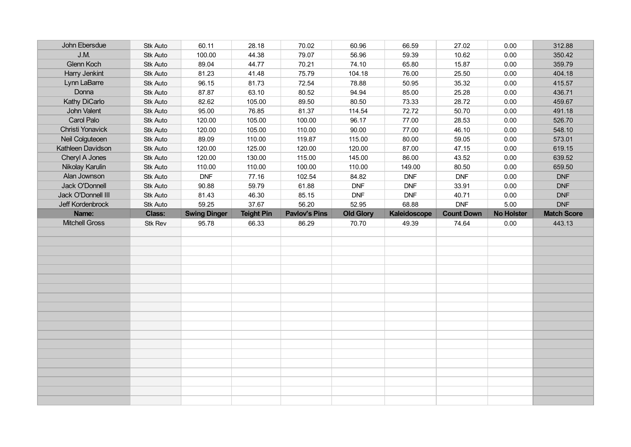| John Ebersdue         | Stk Auto      | 60.11               | 28.18             | 70.02                | 60.96            | 66.59        | 27.02             | 0.00              | 312.88             |
|-----------------------|---------------|---------------------|-------------------|----------------------|------------------|--------------|-------------------|-------------------|--------------------|
| J.M.                  | Stk Auto      | 100.00              | 44.38             | 79.07                | 56.96            | 59.39        | 10.62             | 0.00              | 350.42             |
| Glenn Koch            | Stk Auto      | 89.04               | 44.77             | 70.21                | 74.10            | 65.80        | 15.87             | 0.00              | 359.79             |
| Harry Jenkint         | Stk Auto      | 81.23               | 41.48             | 75.79                | 104.18           | 76.00        | 25.50             | 0.00              | 404.18             |
| Lynn LaBarre          | Stk Auto      | 96.15               | 81.73             | 72.54                | 78.88            | 50.95        | 35.32             | 0.00              | 415.57             |
| Donna                 | Stk Auto      | 87.87               | 63.10             | 80.52                | 94.94            | 85.00        | 25.28             | 0.00              | 436.71             |
| Kathy DiCarlo         | Stk Auto      | 82.62               | 105.00            | 89.50                | 80.50            | 73.33        | 28.72             | 0.00              | 459.67             |
| John Valent           | Stk Auto      | 95.00               | 76.85             | 81.37                | 114.54           | 72.72        | 50.70             | 0.00              | 491.18             |
| Carol Palo            | Stk Auto      | 120.00              | 105.00            | 100.00               | 96.17            | 77.00        | 28.53             | 0.00              | 526.70             |
| Christi Yonavick      | Stk Auto      | 120.00              | 105.00            | 110.00               | 90.00            | 77.00        | 46.10             | 0.00              | 548.10             |
| Neil Colguteoen       | Stk Auto      | 89.09               | 110.00            | 119.87               | 115.00           | 80.00        | 59.05             | 0.00              | 573.01             |
| Kathleen Davidson     | Stk Auto      | 120.00              | 125.00            | 120.00               | 120.00           | 87.00        | 47.15             | 0.00              | 619.15             |
| Cheryl A Jones        | Stk Auto      | 120.00              | 130.00            | 115.00               | 145.00           | 86.00        | 43.52             | 0.00              | 639.52             |
| Nikolay Karulin       | Stk Auto      | 110.00              | 110.00            | 100.00               | 110.00           | 149.00       | 80.50             | 0.00              | 659.50             |
| Alan Jownson          | Stk Auto      | <b>DNF</b>          | 77.16             | 102.54               | 84.82            | <b>DNF</b>   | <b>DNF</b>        | 0.00              | <b>DNF</b>         |
| Jack O'Donnell        | Stk Auto      | 90.88               | 59.79             | 61.88                | <b>DNF</b>       | <b>DNF</b>   | 33.91             | 0.00              | <b>DNF</b>         |
| Jack O'Donnell III    | Stk Auto      | 81.43               | 46.30             | 85.15                | <b>DNF</b>       | <b>DNF</b>   | 40.71             | 0.00              | <b>DNF</b>         |
| Jeff Kordenbrock      | Stk Auto      | 59.25               | 37.67             | 56.20                | 52.95            | 68.88        | <b>DNF</b>        | 5.00              | <b>DNF</b>         |
| Name:                 | <b>Class:</b> | <b>Swing Dinger</b> | <b>Teight Pin</b> | <b>Pavlov's Pins</b> | <b>Old Glory</b> | Kaleidoscope | <b>Count Down</b> | <b>No Holster</b> | <b>Match Score</b> |
|                       |               |                     |                   |                      |                  |              |                   |                   |                    |
| <b>Mitchell Gross</b> | Stk Rev       | 95.78               | 66.33             | 86.29                | 70.70            | 49.39        | 74.64             | 0.00              | 443.13             |
|                       |               |                     |                   |                      |                  |              |                   |                   |                    |
|                       |               |                     |                   |                      |                  |              |                   |                   |                    |
|                       |               |                     |                   |                      |                  |              |                   |                   |                    |
|                       |               |                     |                   |                      |                  |              |                   |                   |                    |
|                       |               |                     |                   |                      |                  |              |                   |                   |                    |
|                       |               |                     |                   |                      |                  |              |                   |                   |                    |
|                       |               |                     |                   |                      |                  |              |                   |                   |                    |
|                       |               |                     |                   |                      |                  |              |                   |                   |                    |
|                       |               |                     |                   |                      |                  |              |                   |                   |                    |
|                       |               |                     |                   |                      |                  |              |                   |                   |                    |
|                       |               |                     |                   |                      |                  |              |                   |                   |                    |
|                       |               |                     |                   |                      |                  |              |                   |                   |                    |
|                       |               |                     |                   |                      |                  |              |                   |                   |                    |
|                       |               |                     |                   |                      |                  |              |                   |                   |                    |
|                       |               |                     |                   |                      |                  |              |                   |                   |                    |
|                       |               |                     |                   |                      |                  |              |                   |                   |                    |
|                       |               |                     |                   |                      |                  |              |                   |                   |                    |
|                       |               |                     |                   |                      |                  |              |                   |                   |                    |